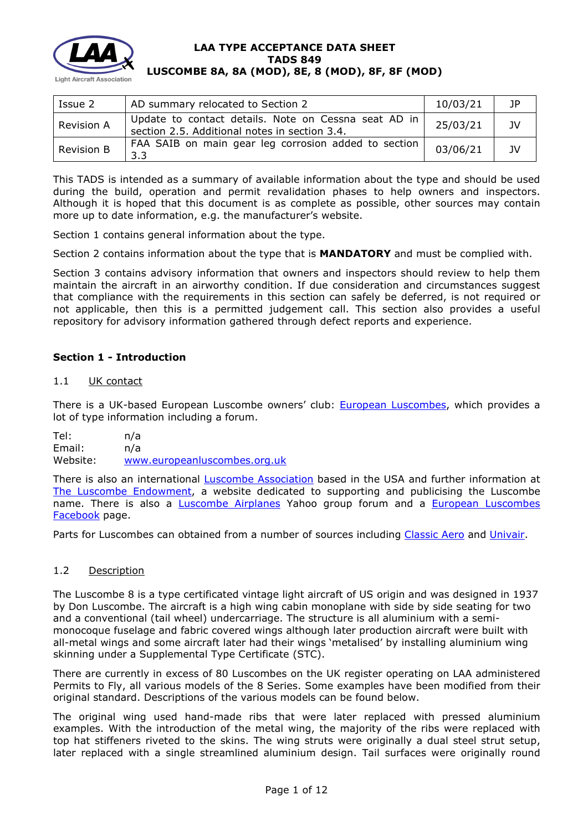

| Issue 2           | AD summary relocated to Section 2                                                                       | 10/03/21 | -1P |
|-------------------|---------------------------------------------------------------------------------------------------------|----------|-----|
| <b>Revision A</b> | Update to contact details. Note on Cessna seat AD in  <br>section 2.5. Additional notes in section 3.4. | 25/03/21 | JV. |
| <b>Revision B</b> | FAA SAIB on main gear leg corrosion added to section<br>3.3                                             | 03/06/21 | JV. |

This TADS is intended as a summary of available information about the type and should be used during the build, operation and permit revalidation phases to help owners and inspectors. Although it is hoped that this document is as complete as possible, other sources may contain more up to date information, e.g. the manufacturer's website.

Section 1 contains general information about the type.

Section 2 contains information about the type that is **MANDATORY** and must be complied with.

Section 3 contains advisory information that owners and inspectors should review to help them maintain the aircraft in an airworthy condition. If due consideration and circumstances suggest that compliance with the requirements in this section can safely be deferred, is not required or not applicable, then this is a permitted judgement call. This section also provides a useful repository for advisory information gathered through defect reports and experience.

# **Section 1 - Introduction**

### 1.1 UK contact

There is a UK-based European Luscombe owners' club: **European Luscombes**, which provides a lot of type information including a forum.

Tel: n/a Email: n/a Website: [www.europeanluscombes.org.uk](http://www.europeanluscombes.org.uk/)

There is also an international *[Luscombe Association](http://www.luscombeassoc.org/)* based in the USA and further information at [The Luscombe Endowment,](http://www.luscombe.org/) a website dedicated to supporting and publicising the Luscombe name. There is also a [Luscombe Airplanes](https://groups.yahoo.com/neo/groups/luscombeairplanes/info) Yahoo group forum and a [European Luscombes](https://www.facebook.com/groups/347862542503097)  [Facebook](https://www.facebook.com/groups/347862542503097) page.

Parts for Luscombes can obtained from a number of sources including [Classic Aero](https://shop.classicaero.info/main.sc) and [Univair.](http://www.univair.com/categories/luscombe.html)

### 1.2 Description

The Luscombe 8 is a type certificated vintage light aircraft of US origin and was designed in 1937 by Don Luscombe. The aircraft is a high wing cabin monoplane with side by side seating for two and a conventional (tail wheel) undercarriage. The structure is all aluminium with a semimonocoque fuselage and fabric covered wings although later production aircraft were built with all-metal wings and some aircraft later had their wings 'metalised' by installing aluminium wing skinning under a Supplemental Type Certificate (STC).

There are currently in excess of 80 Luscombes on the UK register operating on LAA administered Permits to Fly, all various models of the 8 Series. Some examples have been modified from their original standard. Descriptions of the various models can be found below.

The original wing used hand-made ribs that were later replaced with pressed aluminium examples. With the introduction of the metal wing, the majority of the ribs were replaced with top hat stiffeners riveted to the skins. The wing struts were originally a dual steel strut setup, later replaced with a single streamlined aluminium design. Tail surfaces were originally round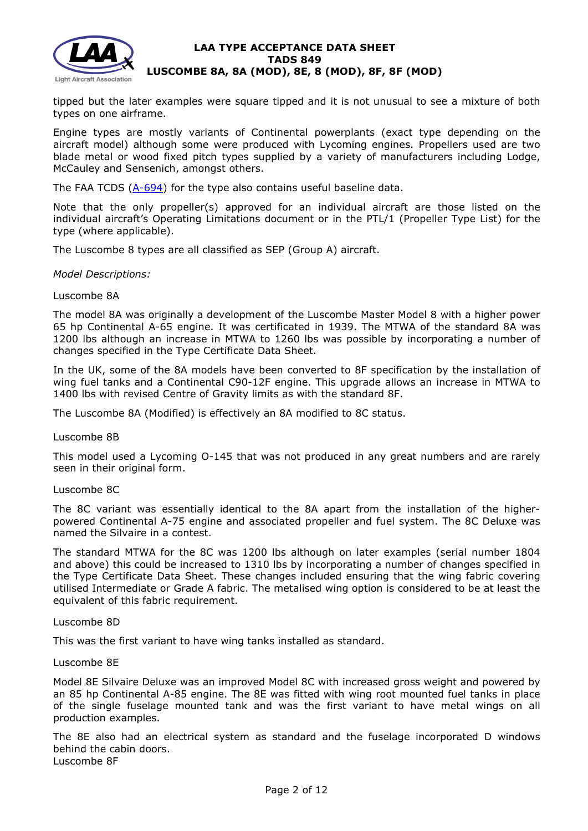

tipped but the later examples were square tipped and it is not unusual to see a mixture of both types on one airframe.

Engine types are mostly variants of Continental powerplants (exact type depending on the aircraft model) although some were produced with Lycoming engines. Propellers used are two blade metal or wood fixed pitch types supplied by a variety of manufacturers including Lodge, McCauley and Sensenich, amongst others.

The FAA TCDS  $(A-694)$  for the type also contains useful baseline data.

Note that the only propeller(s) approved for an individual aircraft are those listed on the individual aircraft's Operating Limitations document or in the PTL/1 (Propeller Type List) for the type (where applicable).

The Luscombe 8 types are all classified as SEP (Group A) aircraft.

#### *Model Descriptions:*

#### Luscombe 8A

The model 8A was originally a development of the Luscombe Master Model 8 with a higher power 65 hp Continental A-65 engine. It was certificated in 1939. The MTWA of the standard 8A was 1200 lbs although an increase in MTWA to 1260 lbs was possible by incorporating a number of changes specified in the Type Certificate Data Sheet.

In the UK, some of the 8A models have been converted to 8F specification by the installation of wing fuel tanks and a Continental C90-12F engine. This upgrade allows an increase in MTWA to 1400 lbs with revised Centre of Gravity limits as with the standard 8F.

The Luscombe 8A (Modified) is effectively an 8A modified to 8C status.

Luscombe 8B

This model used a Lycoming O-145 that was not produced in any great numbers and are rarely seen in their original form.

#### Luscombe 8C

The 8C variant was essentially identical to the 8A apart from the installation of the higherpowered Continental A-75 engine and associated propeller and fuel system. The 8C Deluxe was named the Silvaire in a contest.

The standard MTWA for the 8C was 1200 lbs although on later examples (serial number 1804 and above) this could be increased to 1310 lbs by incorporating a number of changes specified in the Type Certificate Data Sheet. These changes included ensuring that the wing fabric covering utilised Intermediate or Grade A fabric. The metalised wing option is considered to be at least the equivalent of this fabric requirement.

#### Luscombe 8D

This was the first variant to have wing tanks installed as standard.

#### Luscombe 8E

Model 8E Silvaire Deluxe was an improved Model 8C with increased gross weight and powered by an 85 hp Continental A-85 engine. The 8E was fitted with wing root mounted fuel tanks in place of the single fuselage mounted tank and was the first variant to have metal wings on all production examples.

The 8E also had an electrical system as standard and the fuselage incorporated D windows behind the cabin doors. Luscombe 8F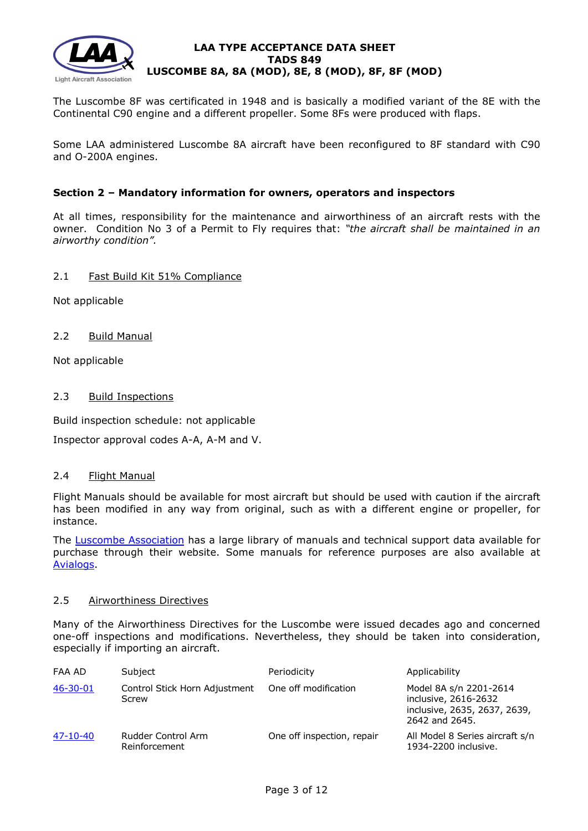

The Luscombe 8F was certificated in 1948 and is basically a modified variant of the 8E with the Continental C90 engine and a different propeller. Some 8Fs were produced with flaps.

Some LAA administered Luscombe 8A aircraft have been reconfigured to 8F standard with C90 and O-200A engines.

## **Section 2 – Mandatory information for owners, operators and inspectors**

At all times, responsibility for the maintenance and airworthiness of an aircraft rests with the owner. Condition No 3 of a Permit to Fly requires that: *"the aircraft shall be maintained in an airworthy condition".* 

### 2.1 Fast Build Kit 51% Compliance

Not applicable

2.2 Build Manual

Not applicable

## 2.3 Build Inspections

Build inspection schedule: not applicable

Inspector approval codes A-A, A-M and V.

### 2.4 Flight Manual

Flight Manuals should be available for most aircraft but should be used with caution if the aircraft has been modified in any way from original, such as with a different engine or propeller, for instance.

The [Luscombe Association](http://www.luscombeassoc.org/) has a large library of manuals and technical support data available for purchase through their website. Some manuals for reference purposes are also available at [Avialogs.](http://www.avialogs.com/index.php/en/aircraft/usa/luscombe/model8silvaire.html)

## 2.5 Airworthiness Directives

Many of the Airworthiness Directives for the Luscombe were issued decades ago and concerned one-off inspections and modifications. Nevertheless, they should be taken into consideration, especially if importing an aircraft.

| FAA AD   | Subject                                | Periodicity                | Applicability                                                                                    |
|----------|----------------------------------------|----------------------------|--------------------------------------------------------------------------------------------------|
| 46-30-01 | Control Stick Horn Adjustment<br>Screw | One off modification       | Model 8A s/n 2201-2614<br>inclusive, 2616-2632<br>inclusive, 2635, 2637, 2639,<br>2642 and 2645. |
| 47-10-40 | Rudder Control Arm<br>Reinforcement    | One off inspection, repair | All Model 8 Series aircraft s/n<br>1934-2200 inclusive.                                          |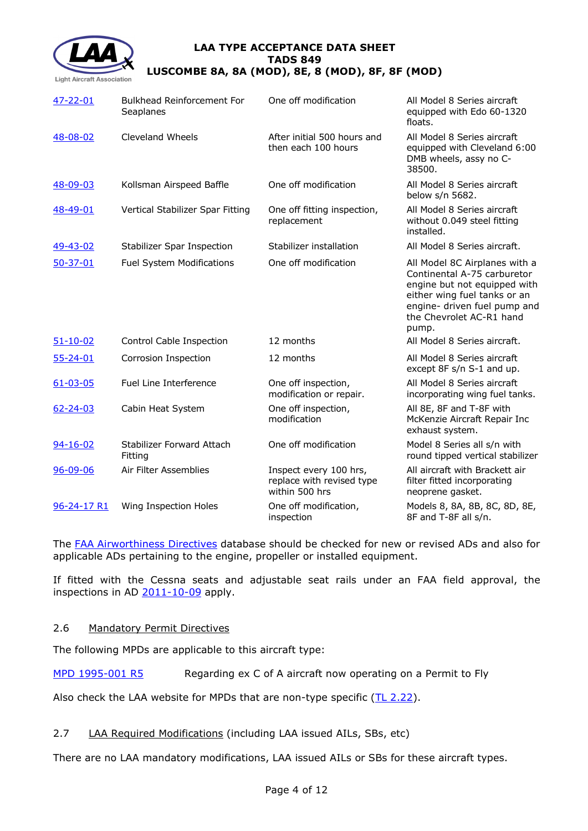

| 47-22-01       | <b>Bulkhead Reinforcement For</b><br>Seaplanes | One off modification                                                  | All Model 8 Series aircraft<br>equipped with Edo 60-1320<br>floats.                                                                                                                               |
|----------------|------------------------------------------------|-----------------------------------------------------------------------|---------------------------------------------------------------------------------------------------------------------------------------------------------------------------------------------------|
| 48-08-02       | Cleveland Wheels                               | After initial 500 hours and<br>then each 100 hours                    | All Model 8 Series aircraft<br>equipped with Cleveland 6:00<br>DMB wheels, assy no C-<br>38500.                                                                                                   |
| 48-09-03       | Kollsman Airspeed Baffle                       | One off modification                                                  | All Model 8 Series aircraft<br>below s/n 5682.                                                                                                                                                    |
| 48-49-01       | Vertical Stabilizer Spar Fitting               | One off fitting inspection,<br>replacement                            | All Model 8 Series aircraft<br>without 0.049 steel fitting<br>installed.                                                                                                                          |
| 49-43-02       | <b>Stabilizer Spar Inspection</b>              | Stabilizer installation                                               | All Model 8 Series aircraft.                                                                                                                                                                      |
| $50 - 37 - 01$ | Fuel System Modifications                      | One off modification                                                  | All Model 8C Airplanes with a<br>Continental A-75 carburetor<br>engine but not equipped with<br>either wing fuel tanks or an<br>engine- driven fuel pump and<br>the Chevrolet AC-R1 hand<br>pump. |
| $51 - 10 - 02$ | Control Cable Inspection                       | 12 months                                                             | All Model 8 Series aircraft.                                                                                                                                                                      |
| $55 - 24 - 01$ | Corrosion Inspection                           | 12 months                                                             | All Model 8 Series aircraft<br>except 8F s/n S-1 and up.                                                                                                                                          |
| $61 - 03 - 05$ | Fuel Line Interference                         | One off inspection,<br>modification or repair.                        | All Model 8 Series aircraft<br>incorporating wing fuel tanks.                                                                                                                                     |
| $62 - 24 - 03$ | Cabin Heat System                              | One off inspection,<br>modification                                   | All 8E, 8F and T-8F with<br>McKenzie Aircraft Repair Inc<br>exhaust system.                                                                                                                       |
| $94 - 16 - 02$ | Stabilizer Forward Attach<br>Fitting           | One off modification                                                  | Model 8 Series all s/n with<br>round tipped vertical stabilizer                                                                                                                                   |
| $96 - 09 - 06$ | Air Filter Assemblies                          | Inspect every 100 hrs,<br>replace with revised type<br>within 500 hrs | All aircraft with Brackett air<br>filter fitted incorporating<br>neoprene gasket.                                                                                                                 |
| 96-24-17 R1    | Wing Inspection Holes                          | One off modification,<br>inspection                                   | Models 8, 8A, 8B, 8C, 8D, 8E,<br>8F and T-8F all s/n.                                                                                                                                             |

The [FAA Airworthiness](http://rgl.faa.gov/Regulatory_and_Guidance_Library/rgAD.nsf/Frameset?OpenPage) Directives database should be checked for new or revised ADs and also for applicable ADs pertaining to the engine, propeller or installed equipment.

If fitted with the Cessna seats and adjustable seat rails under an FAA field approval, the inspections in AD [2011-10-09](http://www.lightaircraftassociation.co.uk/engineering/TADs/849/2011-10-09.pdf) apply.

### 2.6 Mandatory Permit Directives

The following MPDs are applicable to this aircraft type:

[MPD 1995-001 R5](http://www.lightaircraftassociation.co.uk/engineering/TADs/849/MPD%201995-001%20R5.pdf) Regarding ex C of A aircraft now operating on a Permit to Fly

Also check the LAA website for MPDs that are non-type specific  $(TL 2.22)$ .

### 2.7 LAA Required Modifications (including LAA issued AILs, SBs, etc)

There are no LAA mandatory modifications, LAA issued AILs or SBs for these aircraft types.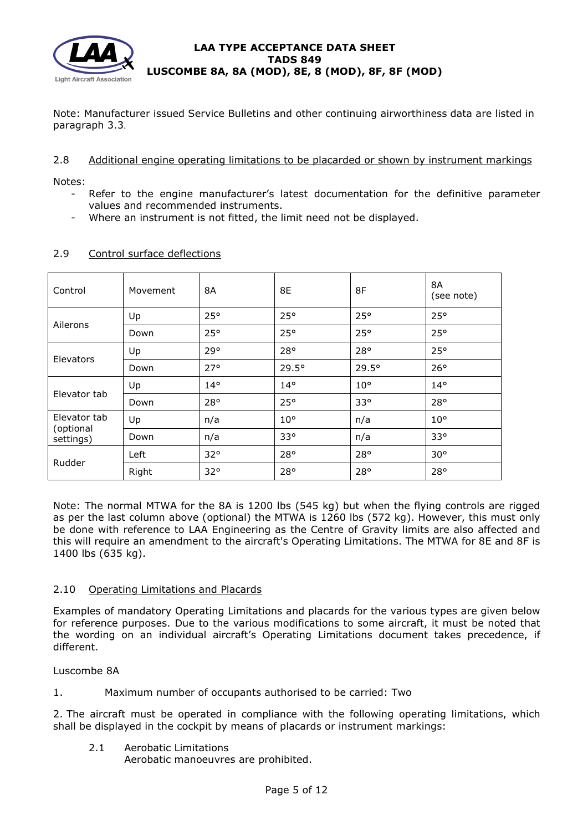

Note: Manufacturer issued Service Bulletins and other continuing airworthiness data are listed in paragraph 3.3.

## 2.8 Additional engine operating limitations to be placarded or shown by instrument markings

Notes:

- Refer to the engine manufacturer's latest documentation for the definitive parameter values and recommended instruments.
- Where an instrument is not fitted, the limit need not be displayed.

| Control                                | Movement | 8A           | 8E           | 8F           | <b>8A</b><br>(see note) |
|----------------------------------------|----------|--------------|--------------|--------------|-------------------------|
| Ailerons                               | Up       | 25°          | $25^{\circ}$ | 25°          | 25°                     |
|                                        | Down     | 25°          | 25°          | 25°          | 25°                     |
|                                        | Up       | 29°          | 28°          | 28°          | 25°                     |
| Elevators                              | Down     | $27^\circ$   | 29.5°        | 29.5°        | 26°                     |
| Elevator tab                           | Up       | $14^{\circ}$ | $14^{\circ}$ | $10^{\circ}$ | $14^{\circ}$            |
|                                        | Down     | 28°          | 25°          | $33^{\circ}$ | 28°                     |
| Elevator tab<br>(optional<br>settings) | Up       | n/a          | $10^{\circ}$ | n/a          | $10^{\circ}$            |
|                                        | Down     | n/a          | 33°          | n/a          | 33°                     |
| Rudder                                 | Left     | $32^{\circ}$ | 28°          | 28°          | $30^{\circ}$            |
|                                        | Right    | $32^{\circ}$ | 28°          | 28°          | 28°                     |

# 2.9 Control surface deflections

Note: The normal MTWA for the 8A is 1200 lbs (545 kg) but when the flying controls are rigged as per the last column above (optional) the MTWA is 1260 lbs (572 kg). However, this must only be done with reference to LAA Engineering as the Centre of Gravity limits are also affected and this will require an amendment to the aircraft's Operating Limitations. The MTWA for 8E and 8F is 1400 lbs (635 kg).

# 2.10 Operating Limitations and Placards

Examples of mandatory Operating Limitations and placards for the various types are given below for reference purposes. Due to the various modifications to some aircraft, it must be noted that the wording on an individual aircraft's Operating Limitations document takes precedence, if different.

Luscombe 8A

1. Maximum number of occupants authorised to be carried: Two

2. The aircraft must be operated in compliance with the following operating limitations, which shall be displayed in the cockpit by means of placards or instrument markings:

- 2.1 Aerobatic Limitations
	- Aerobatic manoeuvres are prohibited.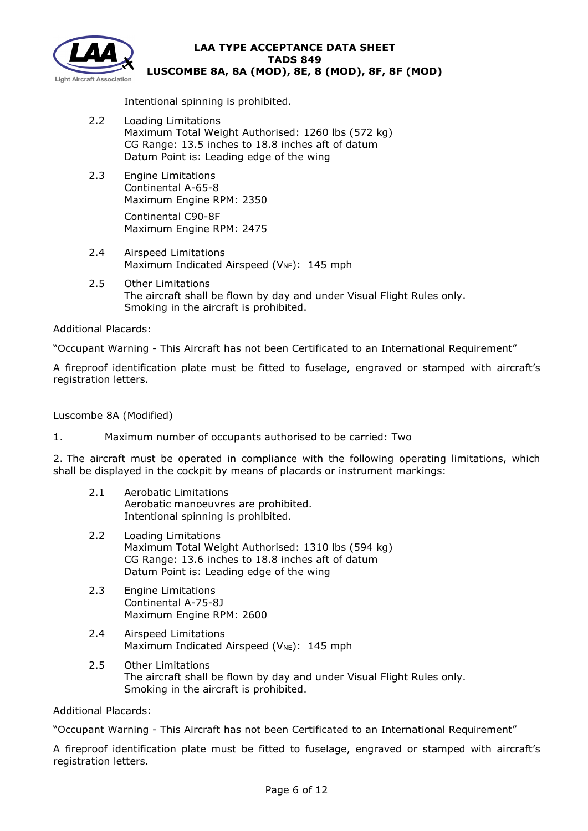

Intentional spinning is prohibited.

- 2.2 Loading Limitations Maximum Total Weight Authorised: 1260 lbs (572 kg) CG Range: 13.5 inches to 18.8 inches aft of datum Datum Point is: Leading edge of the wing
- 2.3 Engine Limitations Continental A-65-8 Maximum Engine RPM: 2350

Continental C90-8F Maximum Engine RPM: 2475

- 2.4 Airspeed Limitations Maximum Indicated Airspeed ( $V_{NE}$ ): 145 mph
- 2.5 Other Limitations The aircraft shall be flown by day and under Visual Flight Rules only. Smoking in the aircraft is prohibited.

Additional Placards:

"Occupant Warning - This Aircraft has not been Certificated to an International Requirement"

A fireproof identification plate must be fitted to fuselage, engraved or stamped with aircraft's registration letters.

Luscombe 8A (Modified)

1. Maximum number of occupants authorised to be carried: Two

2. The aircraft must be operated in compliance with the following operating limitations, which shall be displayed in the cockpit by means of placards or instrument markings:

- 2.1 Aerobatic Limitations Aerobatic manoeuvres are prohibited. Intentional spinning is prohibited.
- 2.2 Loading Limitations Maximum Total Weight Authorised: 1310 lbs (594 kg) CG Range: 13.6 inches to 18.8 inches aft of datum Datum Point is: Leading edge of the wing
- 2.3 Engine Limitations Continental A-75-8J Maximum Engine RPM: 2600
- 2.4 Airspeed Limitations Maximum Indicated Airspeed ( $V_{NE}$ ): 145 mph
- 2.5 Other Limitations The aircraft shall be flown by day and under Visual Flight Rules only. Smoking in the aircraft is prohibited.

Additional Placards:

"Occupant Warning - This Aircraft has not been Certificated to an International Requirement"

A fireproof identification plate must be fitted to fuselage, engraved or stamped with aircraft's registration letters.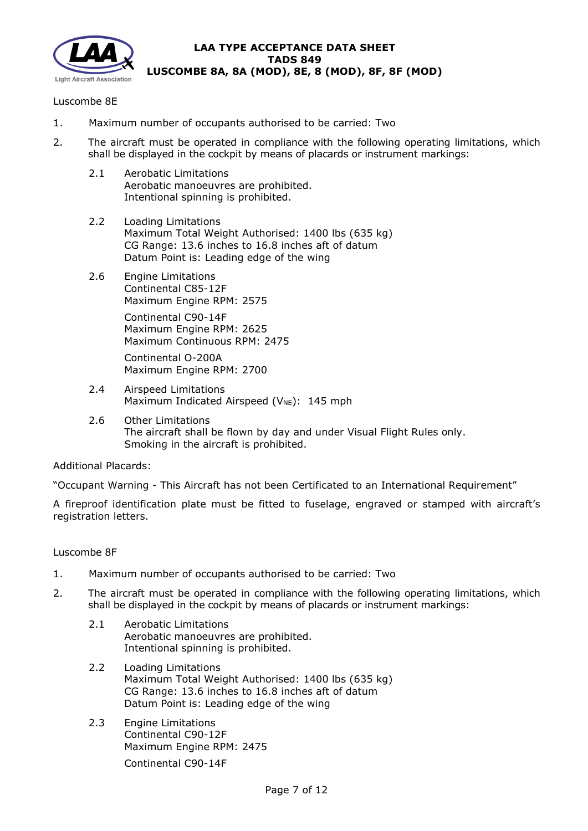

## Luscombe 8E

- 1. Maximum number of occupants authorised to be carried: Two
- 2. The aircraft must be operated in compliance with the following operating limitations, which shall be displayed in the cockpit by means of placards or instrument markings:
	- 2.1 Aerobatic Limitations Aerobatic manoeuvres are prohibited. Intentional spinning is prohibited.
	- 2.2 Loading Limitations Maximum Total Weight Authorised: 1400 lbs (635 kg) CG Range: 13.6 inches to 16.8 inches aft of datum Datum Point is: Leading edge of the wing
	- 2.6 Engine Limitations Continental C85-12F Maximum Engine RPM: 2575

Continental C90-14F Maximum Engine RPM: 2625 Maximum Continuous RPM: 2475

Continental O-200A Maximum Engine RPM: 2700

- 2.4 Airspeed Limitations Maximum Indicated Airspeed ( $V_{NE}$ ): 145 mph
- 2.6 Other Limitations The aircraft shall be flown by day and under Visual Flight Rules only. Smoking in the aircraft is prohibited.

Additional Placards:

"Occupant Warning - This Aircraft has not been Certificated to an International Requirement"

A fireproof identification plate must be fitted to fuselage, engraved or stamped with aircraft's registration letters.

### Luscombe 8F

- 1. Maximum number of occupants authorised to be carried: Two
- 2. The aircraft must be operated in compliance with the following operating limitations, which shall be displayed in the cockpit by means of placards or instrument markings:
	- 2.1 Aerobatic Limitations Aerobatic manoeuvres are prohibited. Intentional spinning is prohibited.
	- 2.2 Loading Limitations Maximum Total Weight Authorised: 1400 lbs (635 kg) CG Range: 13.6 inches to 16.8 inches aft of datum Datum Point is: Leading edge of the wing
	- 2.3 Engine Limitations Continental C90-12F Maximum Engine RPM: 2475

Continental C90-14F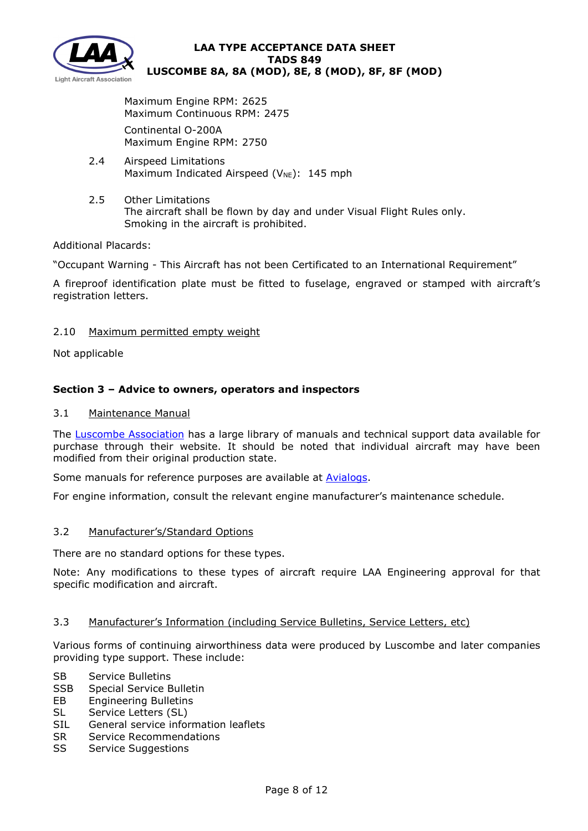

Maximum Engine RPM: 2625 Maximum Continuous RPM: 2475 Continental O-200A

Maximum Engine RPM: 2750

- 2.4 Airspeed Limitations Maximum Indicated Airspeed ( $V_{NE}$ ): 145 mph
- 2.5 Other Limitations The aircraft shall be flown by day and under Visual Flight Rules only. Smoking in the aircraft is prohibited.

# Additional Placards:

"Occupant Warning - This Aircraft has not been Certificated to an International Requirement"

A fireproof identification plate must be fitted to fuselage, engraved or stamped with aircraft's registration letters.

# 2.10 Maximum permitted empty weight

Not applicable

# **Section 3 – Advice to owners, operators and inspectors**

## 3.1 Maintenance Manual

The [Luscombe Association](http://www.luscombeassoc.org/) has a large library of manuals and technical support data available for purchase through their website. It should be noted that individual aircraft may have been modified from their original production state.

Some manuals for reference purposes are available at **Avialogs**.

For engine information, consult the relevant engine manufacturer's maintenance schedule.

### 3.2 Manufacturer's/Standard Options

There are no standard options for these types.

Note: Any modifications to these types of aircraft require LAA Engineering approval for that specific modification and aircraft.

### 3.3 Manufacturer's Information (including Service Bulletins, Service Letters, etc)

Various forms of continuing airworthiness data were produced by Luscombe and later companies providing type support. These include:

- SB Service Bulletins
- SSB Special Service Bulletin
- EB Engineering Bulletins
- SL Service Letters (SL)
- SIL General service information leaflets
- SR Service Recommendations
- SS Service Suggestions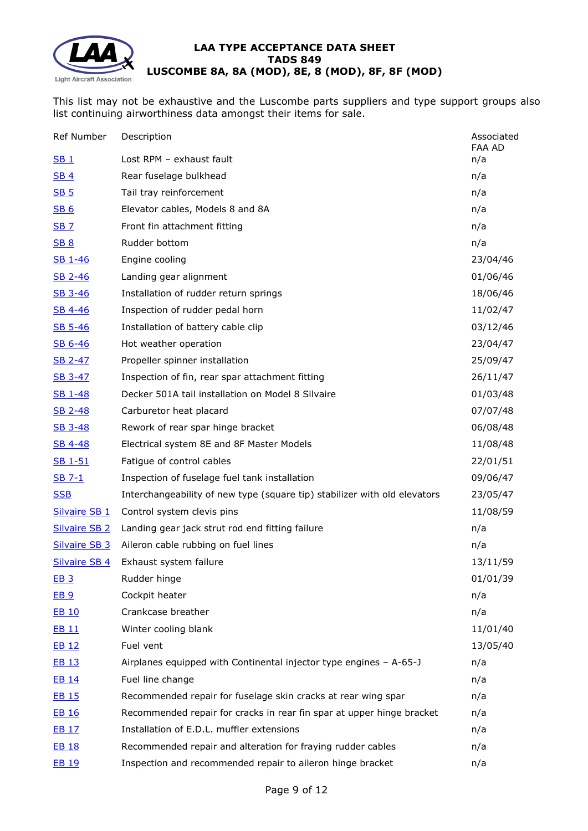

This list may not be exhaustive and the Luscombe parts suppliers and type support groups also list continuing airworthiness data amongst their items for sale.

| Ref Number           | Description                                                               | Associated<br>FAA AD |
|----------------------|---------------------------------------------------------------------------|----------------------|
| $SB_1$               | Lost RPM - exhaust fault                                                  | n/a                  |
| <b>SB4</b>           | Rear fuselage bulkhead                                                    | n/a                  |
| <b>SB 5</b>          | Tail tray reinforcement                                                   | n/a                  |
| <b>SB 6</b>          | Elevator cables, Models 8 and 8A                                          | n/a                  |
| <b>SB 7</b>          | Front fin attachment fitting                                              | n/a                  |
| <b>SB 8</b>          | Rudder bottom                                                             | n/a                  |
| SB 1-46              | Engine cooling                                                            | 23/04/46             |
| SB 2-46              | Landing gear alignment                                                    | 01/06/46             |
| SB 3-46              | Installation of rudder return springs                                     | 18/06/46             |
| SB 4-46              | Inspection of rudder pedal horn                                           | 11/02/47             |
| <u>SB 5-46</u>       | Installation of battery cable clip                                        | 03/12/46             |
| SB 6-46              | Hot weather operation                                                     | 23/04/47             |
| SB 2-47              | Propeller spinner installation                                            | 25/09/47             |
| SB 3-47              | Inspection of fin, rear spar attachment fitting                           | 26/11/47             |
| SB 1-48              | Decker 501A tail installation on Model 8 Silvaire                         | 01/03/48             |
| SB 2-48              | Carburetor heat placard                                                   | 07/07/48             |
| SB 3-48              | Rework of rear spar hinge bracket                                         | 06/08/48             |
| SB 4-48              | Electrical system 8E and 8F Master Models                                 | 11/08/48             |
| SB 1-51              | Fatigue of control cables                                                 | 22/01/51             |
| SB 7-1               | Inspection of fuselage fuel tank installation                             | 09/06/47             |
| <b>SSB</b>           | Interchangeability of new type (square tip) stabilizer with old elevators | 23/05/47             |
| <b>Silvaire SB 1</b> | Control system clevis pins                                                | 11/08/59             |
| <b>Silvaire SB 2</b> | Landing gear jack strut rod end fitting failure                           | n/a                  |
| <b>Silvaire SB 3</b> | Aileron cable rubbing on fuel lines                                       | n/a                  |
| <b>Silvaire SB 4</b> | Exhaust system failure                                                    | 13/11/59             |
| EB 3                 | Rudder hinge                                                              | 01/01/39             |
| EB 9                 | Cockpit heater                                                            | n/a                  |
| <b>EB 10</b>         | Crankcase breather                                                        | n/a                  |
| <b>EB 11</b>         | Winter cooling blank                                                      | 11/01/40             |
| <b>EB 12</b>         | Fuel vent                                                                 | 13/05/40             |
| EB 13                | Airplanes equipped with Continental injector type engines - A-65-J        | n/a                  |
| <b>EB 14</b>         | Fuel line change                                                          | n/a                  |
| <b>EB 15</b>         | Recommended repair for fuselage skin cracks at rear wing spar             | n/a                  |
| <b>EB 16</b>         | Recommended repair for cracks in rear fin spar at upper hinge bracket     | n/a                  |
| EB 17                | Installation of E.D.L. muffler extensions                                 | n/a                  |
| <b>EB 18</b>         | Recommended repair and alteration for fraying rudder cables               | n/a                  |
| <b>EB 19</b>         | Inspection and recommended repair to aileron hinge bracket                | n/a                  |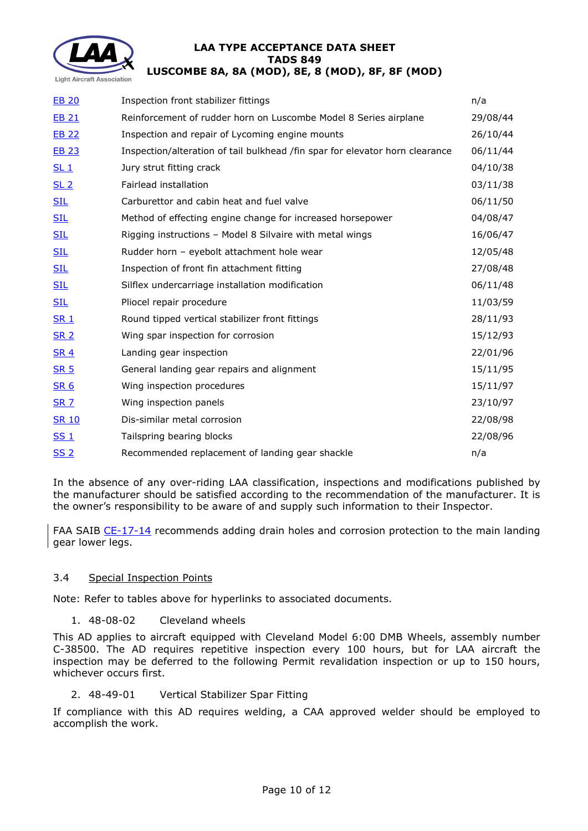

| Inspection front stabilizer fittings                                         | n/a      |
|------------------------------------------------------------------------------|----------|
| Reinforcement of rudder horn on Luscombe Model 8 Series airplane             | 29/08/44 |
| Inspection and repair of Lycoming engine mounts                              | 26/10/44 |
| Inspection/alteration of tail bulkhead /fin spar for elevator horn clearance | 06/11/44 |
| Jury strut fitting crack                                                     | 04/10/38 |
| Fairlead installation                                                        | 03/11/38 |
| Carburettor and cabin heat and fuel valve                                    | 06/11/50 |
| Method of effecting engine change for increased horsepower                   | 04/08/47 |
| Rigging instructions - Model 8 Silvaire with metal wings                     | 16/06/47 |
| Rudder horn - eyebolt attachment hole wear                                   | 12/05/48 |
| Inspection of front fin attachment fitting                                   | 27/08/48 |
| Silflex undercarriage installation modification                              | 06/11/48 |
| Pliocel repair procedure                                                     | 11/03/59 |
| Round tipped vertical stabilizer front fittings                              | 28/11/93 |
| Wing spar inspection for corrosion                                           | 15/12/93 |
| Landing gear inspection                                                      | 22/01/96 |
| General landing gear repairs and alignment                                   | 15/11/95 |
| Wing inspection procedures                                                   | 15/11/97 |
| Wing inspection panels                                                       | 23/10/97 |
| Dis-similar metal corrosion                                                  | 22/08/98 |
| Tailspring bearing blocks                                                    | 22/08/96 |
| Recommended replacement of landing gear shackle                              | n/a      |
|                                                                              |          |

In the absence of any over-riding LAA classification, inspections and modifications published by the manufacturer should be satisfied according to the recommendation of the manufacturer. It is the owner's responsibility to be aware of and supply such information to their Inspector.

FAA SAIB [CE-17-14](http://www.lightaircraftassociation.co.uk/engineering/TADs/849/CE-17-14.pdf) recommends adding drain holes and corrosion protection to the main landing gear lower legs.

# 3.4 Special Inspection Points

Note: Refer to tables above for hyperlinks to associated documents.

1. 48-08-02 Cleveland wheels

This AD applies to aircraft equipped with Cleveland Model 6:00 DMB Wheels, assembly number C-38500. The AD requires repetitive inspection every 100 hours, but for LAA aircraft the inspection may be deferred to the following Permit revalidation inspection or up to 150 hours, whichever occurs first.

2. 48-49-01 Vertical Stabilizer Spar Fitting

If compliance with this AD requires welding, a CAA approved welder should be employed to accomplish the work.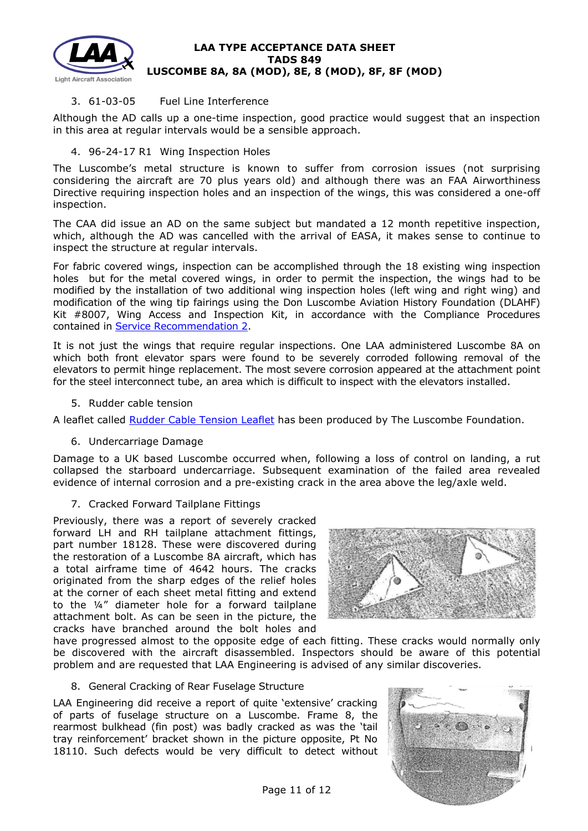

# 3. 61-03-05 Fuel Line Interference

Although the AD calls up a one-time inspection, good practice would suggest that an inspection in this area at regular intervals would be a sensible approach.

## 4. 96-24-17 R1 Wing Inspection Holes

The Luscombe's metal structure is known to suffer from corrosion issues (not surprising considering the aircraft are 70 plus years old) and although there was an FAA Airworthiness Directive requiring inspection holes and an inspection of the wings, this was considered a one-off inspection.

The CAA did issue an AD on the same subject but mandated a 12 month repetitive inspection, which, although the AD was cancelled with the arrival of EASA, it makes sense to continue to inspect the structure at regular intervals.

For fabric covered wings, inspection can be accomplished through the 18 existing wing inspection holes but for the metal covered wings, in order to permit the inspection, the wings had to be modified by the installation of two additional wing inspection holes (left wing and right wing) and modification of the wing tip fairings using the Don Luscombe Aviation History Foundation (DLAHF) Kit #8007, Wing Access and Inspection Kit, in accordance with the Compliance Procedures contained in [Service Recommendation 2.](http://www.lightaircraftassociation.co.uk/engineering/TADs/849/Service%20Recommendation%202.pdf)

It is not just the wings that require regular inspections. One LAA administered Luscombe 8A on which both front elevator spars were found to be severely corroded following removal of the elevators to permit hinge replacement. The most severe corrosion appeared at the attachment point for the steel interconnect tube, an area which is difficult to inspect with the elevators installed.

### 5. Rudder cable tension

A leaflet called [Rudder Cable Tension Leaflet](http://www.lightaircraftassociation.co.uk/engineering/TADs/849/Rudder%20Tension%20Leaflet.pdf) has been produced by The Luscombe Foundation.

### 6. Undercarriage Damage

Damage to a UK based Luscombe occurred when, following a loss of control on landing, a rut collapsed the starboard undercarriage. Subsequent examination of the failed area revealed evidence of internal corrosion and a pre-existing crack in the area above the leg/axle weld.

### 7. Cracked Forward Tailplane Fittings

Previously, there was a report of severely cracked forward LH and RH tailplane attachment fittings, part number 18128. These were discovered during the restoration of a Luscombe 8A aircraft, which has a total airframe time of 4642 hours. The cracks originated from the sharp edges of the relief holes at the corner of each sheet metal fitting and extend to the ¼" diameter hole for a forward tailplane attachment bolt. As can be seen in the picture, the cracks have branched around the bolt holes and



have progressed almost to the opposite edge of each fitting. These cracks would normally only be discovered with the aircraft disassembled. Inspectors should be aware of this potential problem and are requested that LAA Engineering is advised of any similar discoveries.

### 8. General Cracking of Rear Fuselage Structure

LAA Engineering did receive a report of quite 'extensive' cracking of parts of fuselage structure on a Luscombe. Frame 8, the rearmost bulkhead (fin post) was badly cracked as was the 'tail tray reinforcement' bracket shown in the picture opposite, Pt No 18110. Such defects would be very difficult to detect without